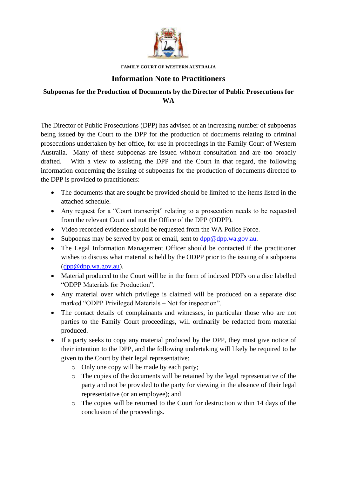

#### **FAMILY COURT OF WESTERN AUSTRALIA**

# **Information Note to Practitioners**

# **Subpoenas for the Production of Documents by the Director of Public Prosecutions for WA**

The Director of Public Prosecutions (DPP) has advised of an increasing number of subpoenas being issued by the Court to the DPP for the production of documents relating to criminal prosecutions undertaken by her office, for use in proceedings in the Family Court of Western Australia. Many of these subpoenas are issued without consultation and are too broadly drafted. With a view to assisting the DPP and the Court in that regard, the following information concerning the issuing of subpoenas for the production of documents directed to the DPP is provided to practitioners:

- The documents that are sought be provided should be limited to the items listed in the attached schedule.
- Any request for a "Court transcript" relating to a prosecution needs to be requested from the relevant Court and not the Office of the DPP (ODPP).
- Video recorded evidence should be requested from the WA Police Force.
- Subpoenas may be served by post or email, sent to  $dpp@dpp.wa.gov.au$ .
- The Legal Information Management Officer should be contacted if the practitioner wishes to discuss what material is held by the ODPP prior to the issuing of a subpoena [\(dpp@dpp.wa.gov.au\)](mailto:dpp@dpp.wa.gov.au).
- Material produced to the Court will be in the form of indexed PDFs on a disc labelled "ODPP Materials for Production".
- Any material over which privilege is claimed will be produced on a separate disc marked "ODPP Privileged Materials – Not for inspection".
- The contact details of complainants and witnesses, in particular those who are not parties to the Family Court proceedings, will ordinarily be redacted from material produced.
- If a party seeks to copy any material produced by the DPP, they must give notice of their intention to the DPP, and the following undertaking will likely be required to be given to the Court by their legal representative:
	- o Only one copy will be made by each party;
	- o The copies of the documents will be retained by the legal representative of the party and not be provided to the party for viewing in the absence of their legal representative (or an employee); and
	- o The copies will be returned to the Court for destruction within 14 days of the conclusion of the proceedings.